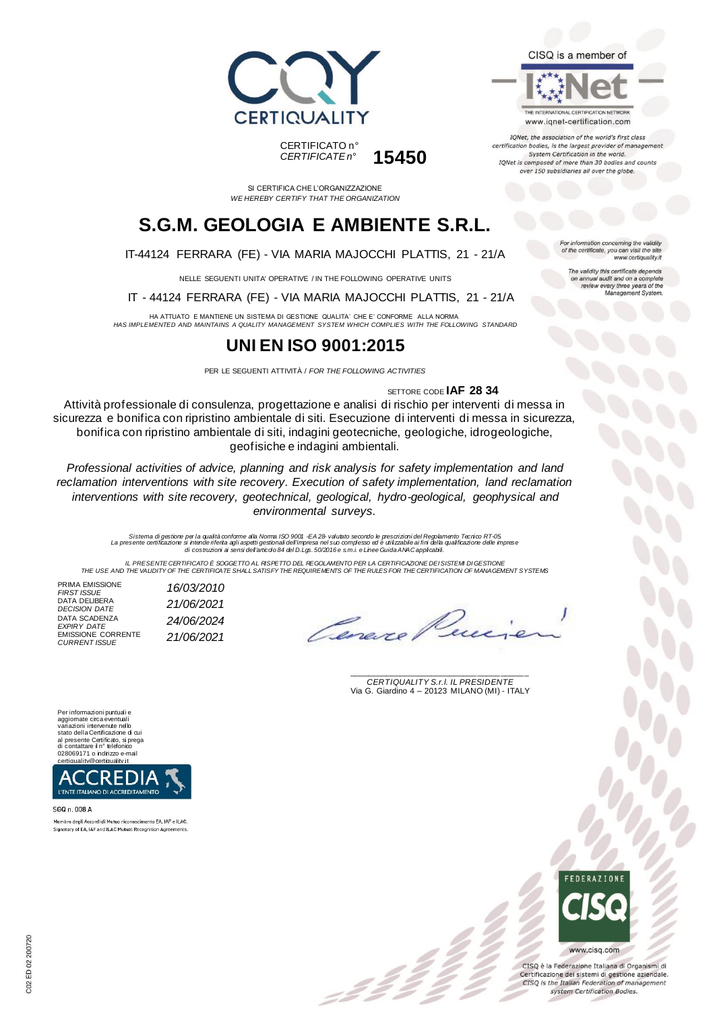

TONet, the association of the world's first class certification bodies, is the largest provider of management System Certification in the world. IQNet is composed of more than 30 bodies and counts over 150 subsidiaries all over the globe.

CERTIFICATO n° *CERTIFICATE n°* **15450**

**CERTIQUALITY** 

SI CERTIFICA CHE L'ORGANIZZAZIONE *WE HEREBY CERTIFY THAT THE ORGANIZATION*

## **S.G.M. GEOLOGIA E AMBIENTE S.R.L.**

IT-44124 FERRARA (FE) - VIA MARIA MAJOCCHI PLATTIS, 21 - 21/A

NELLE SEGUENTI UNITA' OPERATIVE / IN THE FOLLOWING OPERATIVE UNITS

IT - 44124 FERRARA (FE) - VIA MARIA MAJOCCHI PLATTIS, 21 - 21/A

HA ATTUATO E MANTIENE UN SISTEMA DI GESTIONE QUALITA' CHE E' CONFORME ALLA NORMA *HAS IMPLEMENTED AND MAINTAINS A QUALITY MANAGEMENT SYSTEM WHICH COMPLIES WITH THE FOLLOWING STANDARD*

### **UNI EN ISO 9001:2015**

PER LE SEGUENTI ATTIVITÀ / *FOR THE FOLLOWING ACTIVITIES*

#### SETTORE CODE **IAF 28 34**

Attività professionale di consulenza, progettazione e analisi di rischio per interventi di messa in sicurezza e bonifica con ripristino ambientale di siti. Esecuzione di interventi di messa in sicurezza, bonifica con ripristino ambientale di siti, indagini geotecniche, geologiche, idrogeologiche, geofisiche e indagini ambientali.

*Professional activities of advice, planning and risk analysis for safety implementation and land reclamation interventions with site recovery. Execution of safety implementation, land reclamation interventions with site recovery, geotechnical, geological, hydro-geological, geophysical and environmental surveys.*

Sistema di gestione per la qualità conforme alla Norma ISO 9001 -EA 28 valutato secondo le prescrizioni del Regolamento Tecnico RT-05.<br>La presente certificazione si intende riferita agli aspetti gestional dell'impresa mel

*IL PRESENTE CERTIFICATO È SOGGETTO AL RISPETTO DEL REGOLAMENTO PER LA CERTIFICAZIONE DEI SISTEMI DI GESTIONE THE USE AND THE VALIDITY OF THE CERTIFICATE SHALL SATISFY THE REQUIREMENTS OF THE RULES FOR THE CERTIFICATION OF MANAGEMENT SYSTEMS*

:22

PRIMA EMISSIONE *FIRST ISSUE 16/03/2010* DATA DELIBERA *DECISION DATE 21/06/2021* DATA SCADENZA *EXPIRY DATE 24/06/2024* EMISSIONE CORRENTE *CURRENT ISSUE 21/06/2021*

Cene.

\_\_\_\_\_\_\_\_\_\_\_\_\_\_\_\_\_\_\_\_\_\_\_\_\_\_\_\_\_\_\_\_\_\_\_\_\_\_\_ *CERTIQUALITY S.r.l. IL PRESIDENTE* Via G. Giardino 4 – 20123 MILANO (MI) - ITALY

Per informazioni puntuali e aggiornate circa eventuali variazioni intervenute nello stato della Certificazione di cui al presente Certificato, si prega di contattare il n° telefonico 028069171 o indirizzo e-mail iality.it



SGQ n. 008 A

Membro degli Accordi di Mutuo riconoscimento EA. IAF e ILAC Signatory of EA, IAF and ILAC Mutual Recognition Agreements



CISO è la Federazione Italiana di Organismi di Certificazione dei sistemi di gestione aziendale. CISQ is the Italian Federation of management system Certification Bodies.

tion concerning the validity of the certificate, you can visit the sit www.certiquality.it

The validity this certificate depends on annual audit and on a complete<br>review every three years of the<br>Management System.